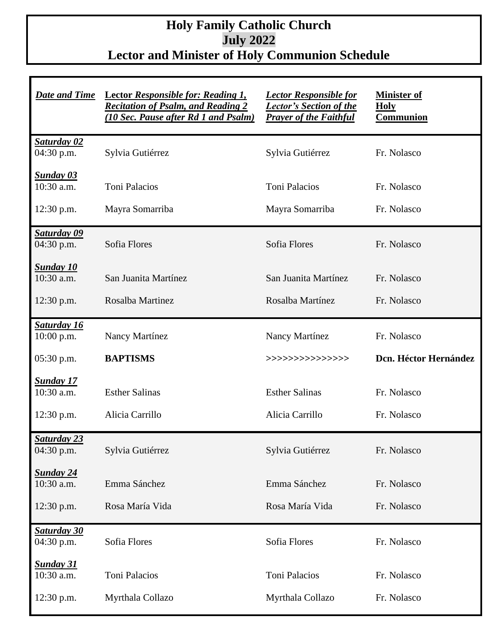## **Holy Family Catholic Church July 2022 Lector and Minister of Holy Communion Schedule**

| <b>Date and Time</b>               | <b>Lector Responsible for: Reading 1,</b><br><b>Recitation of Psalm, and Reading 2</b><br>(10 Sec. Pause after Rd 1 and Psalm) | <b>Lector Responsible for</b><br><b>Lector's Section of the</b><br><b>Prayer of the Faithful</b> | <b>Minister of</b><br><b>Holy</b><br><b>Communion</b> |
|------------------------------------|--------------------------------------------------------------------------------------------------------------------------------|--------------------------------------------------------------------------------------------------|-------------------------------------------------------|
| Saturday 02<br>04:30 p.m.          | Sylvia Gutiérrez                                                                                                               | Sylvia Gutiérrez                                                                                 | Fr. Nolasco                                           |
| <b>Sunday 03</b><br>10:30 a.m.     | <b>Toni Palacios</b>                                                                                                           | <b>Toni Palacios</b>                                                                             | Fr. Nolasco                                           |
| 12:30 p.m.                         | Mayra Somarriba                                                                                                                | Mayra Somarriba                                                                                  | Fr. Nolasco                                           |
| <b>Saturday 09</b><br>$04:30$ p.m. | Sofia Flores                                                                                                                   | Sofia Flores                                                                                     | Fr. Nolasco                                           |
| <b>Sunday 10</b><br>10:30 a.m.     | San Juanita Martínez                                                                                                           | San Juanita Martínez                                                                             | Fr. Nolasco                                           |
| $12:30$ p.m.                       | Rosalba Martinez                                                                                                               | Rosalba Martínez                                                                                 | Fr. Nolasco                                           |
| <b>Saturday 16</b><br>$10:00$ p.m. | Nancy Martínez                                                                                                                 | Nancy Martínez                                                                                   | Fr. Nolasco                                           |
| $05:30$ p.m.                       | <b>BAPTISMS</b>                                                                                                                | >>>>>>>>>>>>>>>>                                                                                 | Dcn. Héctor Hernández                                 |
| <b>Sunday 17</b><br>10:30 a.m.     | <b>Esther Salinas</b>                                                                                                          | <b>Esther Salinas</b>                                                                            | Fr. Nolasco                                           |
| 12:30 p.m.                         | Alicia Carrillo                                                                                                                | Alicia Carrillo                                                                                  | Fr. Nolasco                                           |
| <b>Saturday 23</b><br>04:30 p.m.   | Sylvia Gutiérrez                                                                                                               | Sylvia Gutiérrez                                                                                 | Fr. Nolasco                                           |
| <u>Sunday 24</u><br>10:30 a.m.     | Emma Sánchez                                                                                                                   | Emma Sánchez                                                                                     | Fr. Nolasco                                           |
| 12:30 p.m.                         | Rosa María Vida                                                                                                                | Rosa María Vida                                                                                  | Fr. Nolasco                                           |
| <b>Saturday 30</b><br>$04:30$ p.m. | Sofia Flores                                                                                                                   | Sofia Flores                                                                                     | Fr. Nolasco                                           |
| <u>Sunday 31</u><br>10:30 a.m.     | Toni Palacios                                                                                                                  | <b>Toni Palacios</b>                                                                             | Fr. Nolasco                                           |
| 12:30 p.m.                         | Myrthala Collazo                                                                                                               | Myrthala Collazo                                                                                 | Fr. Nolasco                                           |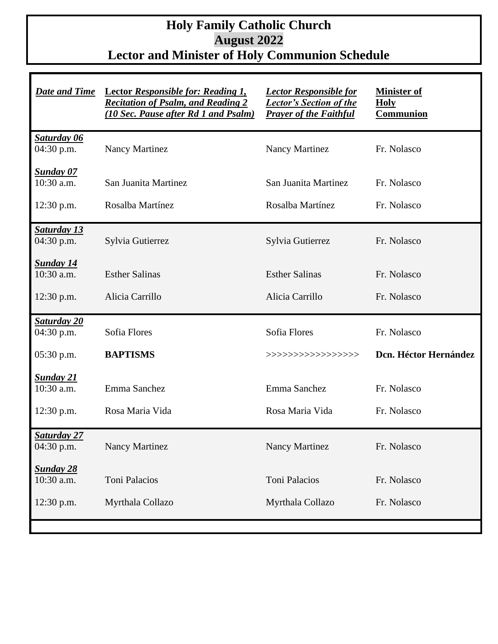## **Holy Family Catholic Church August 2022 Lector and Minister of Holy Communion Schedule**

| <b>Date and Time</b>               | <b>Lector Responsible for: Reading 1,</b><br><b>Recitation of Psalm, and Reading 2</b><br>(10 Sec. Pause after Rd 1 and Psalm) | <b>Lector Responsible for</b><br><b>Lector's Section of the</b><br><b>Prayer of the Faithful</b> | <b>Minister of</b><br><b>Holy</b><br><b>Communion</b> |
|------------------------------------|--------------------------------------------------------------------------------------------------------------------------------|--------------------------------------------------------------------------------------------------|-------------------------------------------------------|
| Saturday 06<br>04:30 p.m.          | <b>Nancy Martinez</b>                                                                                                          | <b>Nancy Martinez</b>                                                                            | Fr. Nolasco                                           |
| <b>Sunday 07</b><br>10:30 a.m.     | San Juanita Martinez                                                                                                           | San Juanita Martinez                                                                             | Fr. Nolasco                                           |
| $12:30$ p.m.                       | Rosalba Martínez                                                                                                               | Rosalba Martínez                                                                                 | Fr. Nolasco                                           |
| <b>Saturday 13</b><br>$04:30$ p.m. | Sylvia Gutierrez                                                                                                               | Sylvia Gutierrez                                                                                 | Fr. Nolasco                                           |
| <b>Sunday 14</b><br>10:30 a.m.     | <b>Esther Salinas</b>                                                                                                          | <b>Esther Salinas</b>                                                                            | Fr. Nolasco                                           |
| $12:30$ p.m.                       | Alicia Carrillo                                                                                                                | Alicia Carrillo                                                                                  | Fr. Nolasco                                           |
| <b>Saturday 20</b><br>04:30 p.m.   | Sofia Flores                                                                                                                   | Sofia Flores                                                                                     | Fr. Nolasco                                           |
| 05:30 p.m.                         | <b>BAPTISMS</b>                                                                                                                | >>>>>>>>>>>>>>>>>>                                                                               | Dcn. Héctor Hernández                                 |
| <b>Sunday 21</b><br>10:30 a.m.     | Emma Sanchez                                                                                                                   | Emma Sanchez                                                                                     | Fr. Nolasco                                           |
| 12:30 p.m.                         | Rosa Maria Vida                                                                                                                | Rosa Maria Vida                                                                                  | Fr. Nolasco                                           |
| <b>Saturday 27</b><br>$04:30$ p.m. | <b>Nancy Martinez</b>                                                                                                          | <b>Nancy Martinez</b>                                                                            | Fr. Nolasco                                           |
| <b>Sunday 28</b><br>10:30 a.m.     | Toni Palacios                                                                                                                  | <b>Toni Palacios</b>                                                                             | Fr. Nolasco                                           |
| $12:30$ p.m.                       | Myrthala Collazo                                                                                                               | Myrthala Collazo                                                                                 | Fr. Nolasco                                           |
|                                    |                                                                                                                                |                                                                                                  |                                                       |